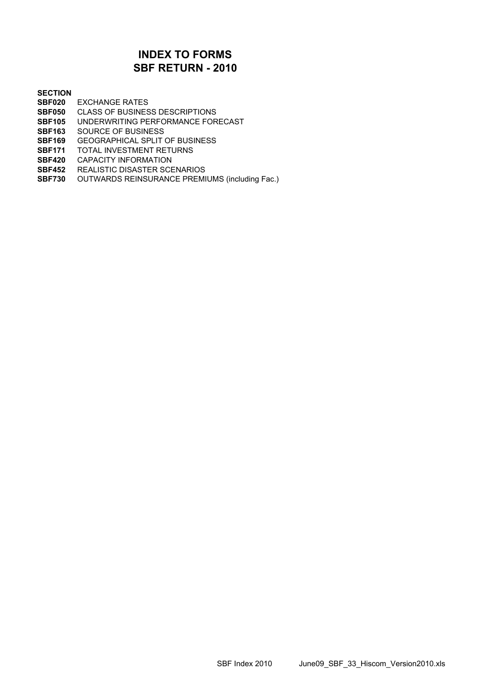### **SBF RETURN - 2010 INDEX TO FORMS**

#### **SECTION**

- **SBF020** EXCHANGE RATES
- **SBF050** CLASS OF BUSINESS DESCRIPTIONS
- **SBF105** UNDERWRITING PERFORMANCE FORECAST
- **SBF163** SOURCE OF BUSINESS
- **SBF169** GEOGRAPHICAL SPLIT OF BUSINESS
- **SBF171** TOTAL INVESTMENT RETURNS
- **SBF420** CAPACITY INFORMATION
- **SBF452** REALISTIC DISASTER SCENARIOS
- **SBF730** OUTWARDS REINSURANCE PREMIUMS (including Fac.)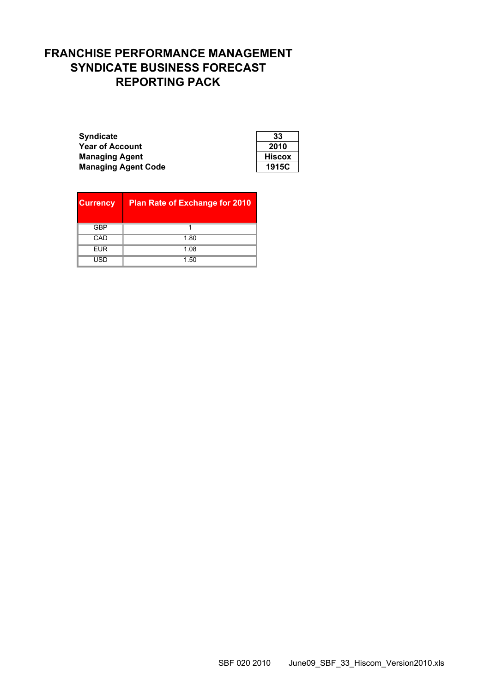# **FRANCHISE PERFORMANCE MANAGEMENT SYNDICATE BUSINESS FORECAST REPORTING PACK**

| <b>Syndicate</b>           | 33            |
|----------------------------|---------------|
| <b>Year of Account</b>     | 2010          |
| <b>Managing Agent</b>      | <b>Hiscox</b> |
| <b>Managing Agent Code</b> | 1915C         |

| 33     |
|--------|
| 2010   |
| Hiscox |
| 1915C  |

| <b>Currency</b> | <b>Plan Rate of Exchange for 2010</b> |
|-----------------|---------------------------------------|
| <b>GBP</b>      |                                       |
| CAD             | 1.80                                  |
| <b>EUR</b>      | 1.08                                  |
| USD             | 1.50                                  |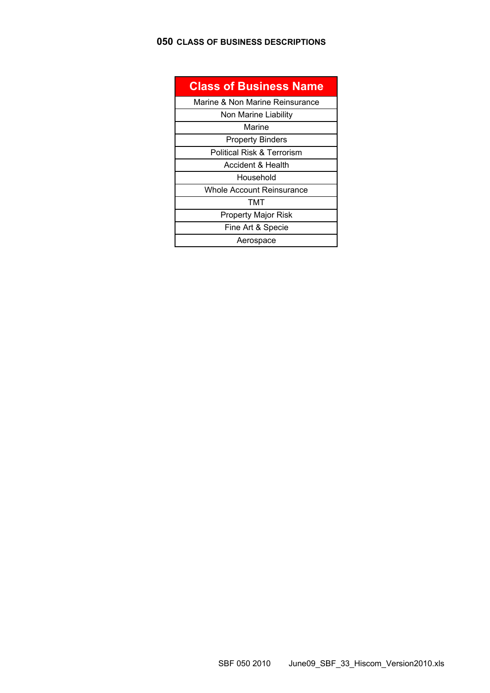### **050 CLASS OF BUSINESS DESCRIPTIONS**

| <b>Class of Business Name</b>   |
|---------------------------------|
| Marine & Non Marine Reinsurance |
| Non Marine Liability            |
| Marine                          |
| <b>Property Binders</b>         |
| Political Risk & Terrorism      |
| Accident & Health               |
| Household                       |
| Whole Account Reinsurance       |
| тмт                             |
| <b>Property Major Risk</b>      |
| Fine Art & Specie               |
| Aerospace                       |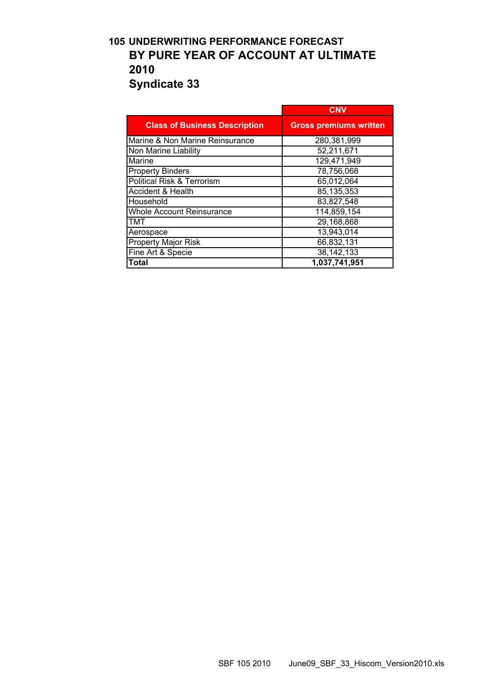## **105 UNDERWRITING PERFORMANCE FORECAST BY PURE YEAR OF ACCOUNT AT ULTIMATE 2010 Syndicate 33**

|                                      | <b>CNV</b>                    |
|--------------------------------------|-------------------------------|
| <b>Class of Business Description</b> | <b>Gross premiums written</b> |
| Marine & Non Marine Reinsurance      | 280,381,999                   |
| Non Marine Liability                 | 52,211,671                    |
| Marine                               | 129,471,949                   |
| <b>Property Binders</b>              | 78,756,068                    |
| Political Risk & Terrorism           | 65,012,064                    |
| <b>Accident &amp; Health</b>         | 85,135,353                    |
| Household                            | 83,827,548                    |
| <b>Whole Account Reinsurance</b>     | 114,859,154                   |
| <b>TMT</b>                           | 29,168,868                    |
| Aerospace                            | 13,943,014                    |
| <b>Property Major Risk</b>           | 66,832,131                    |
| Fine Art & Specie                    | 38,142,133                    |
| <b>Total</b>                         | 1,037,741,951                 |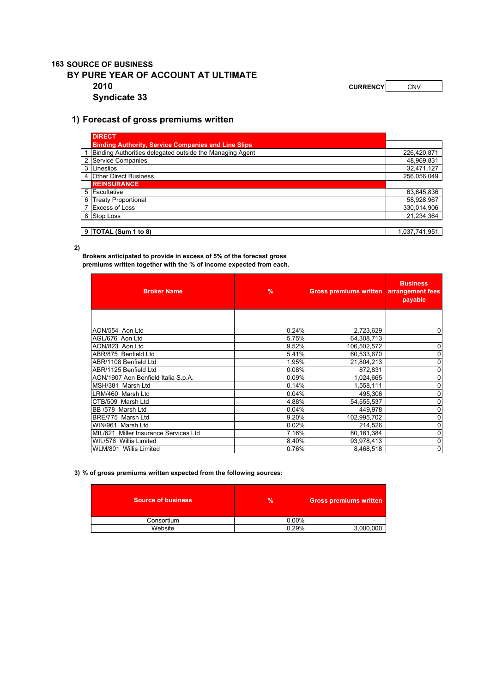### **163 SOURCE OF BUSINESS BY PURE YEAR OF ACCOUNT AT ULTIMATE 2010 CURRENCY CURRENCY CNV Syndicate 33**

#### **1) Forecast of gross premiums written**

|                | <b>DIRECT</b>                                              |               |
|----------------|------------------------------------------------------------|---------------|
|                | <b>Binding Authority, Service Companies and Line Slips</b> |               |
|                | 1 Binding Authorities delegated outside the Managing Agent | 226,420,871   |
|                | 2 Service Companies                                        | 48,969,831    |
| 3 <sup>1</sup> | Lineslips                                                  | 32,471,127    |
|                | 4 Other Direct Business                                    | 256,056,049   |
|                | <b>REINSURANCE</b>                                         |               |
|                | 5 Facultative                                              | 63,645,836    |
| 6              | <b>Treaty Proportional</b>                                 | 58,928,967    |
|                | 7 Excess of Loss                                           | 330.014.906   |
|                | 8 Stop Loss                                                | 21,234,364    |
|                |                                                            |               |
|                | $9$ TOTAL (Sum 1 to 8)                                     | 1.037.741.951 |

**2)**

**Brokers anticipated to provide in excess of 5% of the forecast gross premiums written together with the % of income expected from each.** 

| <b>Broker Name</b>                    | $\%$  | <b>Gross premiums written</b> | <b>Business</b><br>arrangement fees<br>payable |
|---------------------------------------|-------|-------------------------------|------------------------------------------------|
|                                       |       |                               |                                                |
| AON/554 Aon Ltd                       | 0.24% | 2,723,629                     | $\mathbf 0$                                    |
| AGL/676 Aon Ltd                       | 5.75% | 64,308,713                    |                                                |
| AON/823 Aon Ltd                       | 9.52% | 106,502,572                   | $\overline{0}$                                 |
| ABR/875 Benfield Ltd                  | 5.41% | 60,533,670                    | $\mathbf 0$                                    |
| ABR/1108 Benfield Ltd                 | 1.95% | 21,804,213                    | $\mathbf{0}$                                   |
| ABR/1125 Benfield Ltd                 | 0.08% | 872,831                       | $\mathbf 0$                                    |
| AON/1907 Aon Benfield Italia S.p.A.   | 0.09% | 1,024,665                     | 0                                              |
| MSH/381 Marsh Ltd                     | 0.14% | 1,558,111                     | 0                                              |
| LRM/460 Marsh Ltd                     | 0.04% | 495,306                       | $\mathbf{0}$                                   |
| CTB/509 Marsh Ltd                     | 4.88% | 54,555,537                    | $\mathbf 0$                                    |
| BB /578 Marsh Ltd                     | 0.04% | 449,978                       | 0                                              |
| BRE/775 Marsh Ltd                     | 9.20% | 102,995,702                   | $\mathbf 0$                                    |
| WIN/961 Marsh Ltd                     | 0.02% | 214,526                       | $\mathbf 0$                                    |
| MIL/621 Miller Insurance Services Ltd | 7.16% | 80,161,384                    | 0                                              |
| WIL/576 Willis Limited                | 8.40% | 93,978,413                    | $\mathbf 0$                                    |
| WLM/801 Willis Limited                | 0.76% | 8,468,518                     | $\overline{0}$                                 |

**3) % of gross premiums written expected from the following sources:**

| Source of business | <b>%</b> | <b>Gross premiums written</b> |
|--------------------|----------|-------------------------------|
| Consortium         | 0.00%    |                               |
| Website            | 0.29%    | 3,000,000                     |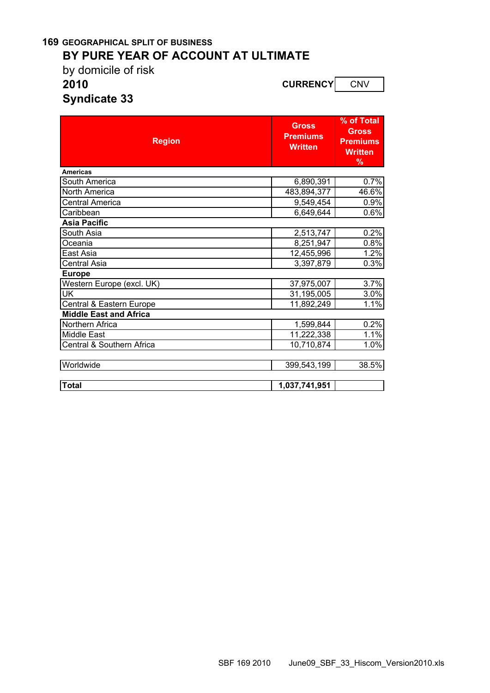### **169 GEOGRAPHICAL SPLIT OF BUSINESS BY PURE YEAR OF ACCOUNT AT ULTIMATE**

by domicile of risk

**2010 CURRENCY** CNV

**Syndicate 33**

| <b>Region</b>                 | <b>Gross</b><br><b>Premiums</b><br><b>Written</b> | % of Total<br><b>Gross</b><br><b>Premiums</b><br><b>Written</b><br>% |
|-------------------------------|---------------------------------------------------|----------------------------------------------------------------------|
| <b>Americas</b>               |                                                   |                                                                      |
| South America                 | 6,890,391                                         | 0.7%                                                                 |
| North America                 | 483,894,377                                       | 46.6%                                                                |
| <b>Central America</b>        | 9,549,454                                         | 0.9%                                                                 |
| Caribbean                     | 6,649,644                                         | 0.6%                                                                 |
| <b>Asia Pacific</b>           |                                                   |                                                                      |
| South Asia                    | 2,513,747                                         | 0.2%                                                                 |
| Oceania                       | 8,251,947                                         | 0.8%                                                                 |
| East Asia                     | 12,455,996                                        | 1.2%                                                                 |
| Central Asia                  | 3,397,879                                         | 0.3%                                                                 |
| <b>Europe</b>                 |                                                   |                                                                      |
| Western Europe (excl. UK)     | 37,975,007                                        | 3.7%                                                                 |
| UK                            | 31,195,005                                        | 3.0%                                                                 |
| Central & Eastern Europe      | 11,892,249                                        | 1.1%                                                                 |
| <b>Middle East and Africa</b> |                                                   |                                                                      |
| Northern Africa               | 1,599,844                                         | 0.2%                                                                 |
| <b>Middle East</b>            | 11,222,338                                        | 1.1%                                                                 |
| Central & Southern Africa     | 10,710,874                                        | 1.0%                                                                 |
| Worldwide                     | 399,543,199                                       | 38.5%                                                                |
| <b>Total</b>                  | 1,037,741,951                                     |                                                                      |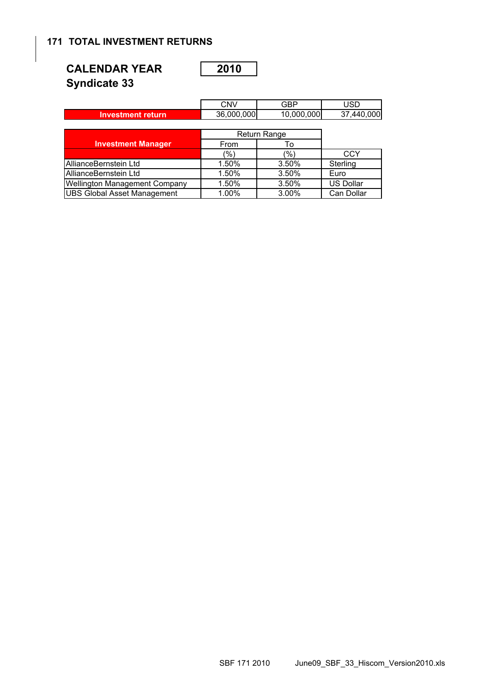### **171 TOTAL INVESTMENT RETURNS**

| <b>CALENDAR YEAR</b> | 2010 |
|----------------------|------|
| <b>Syndicate 33</b>  |      |

|--|--|--|

|                                      | <b>CNV</b> | GBP          | USD              |
|--------------------------------------|------------|--------------|------------------|
| <b>Investment return</b>             | 36,000,000 | 10,000,000   | 37,440,000       |
|                                      |            |              |                  |
|                                      |            | Return Range |                  |
| <b>Investment Manager</b>            | From       | To           |                  |
|                                      | (%)        | (%)          | CCY              |
| AllianceBernstein Ltd                | 1.50%      | 3.50%        | Sterling         |
| AllianceBernstein Ltd                | 1.50%      | 3.50%        | Euro             |
| <b>Wellington Management Company</b> | 1.50%      | 3.50%        | <b>US Dollar</b> |
| <b>UBS Global Asset Management</b>   | 1.00%      | 3.00%        | Can Dollar       |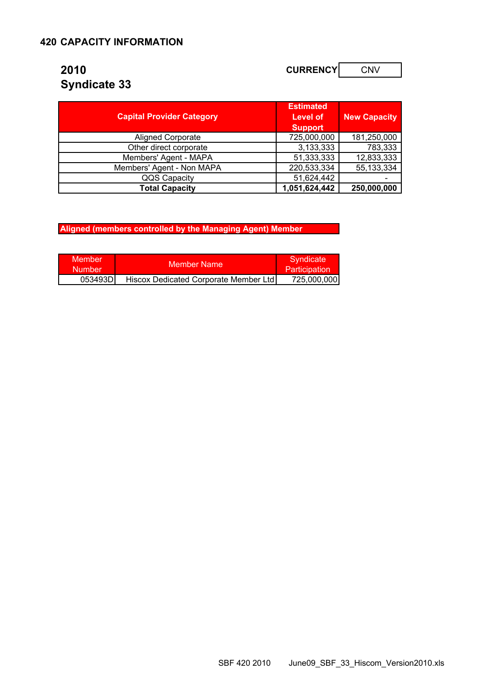# **2010 CURRENCY** CONV **Syndicate 33**

|                                  | <b>Estimated</b> |                     |
|----------------------------------|------------------|---------------------|
| <b>Capital Provider Category</b> | <b>Level of</b>  | <b>New Capacity</b> |
|                                  | <b>Support</b>   |                     |
| <b>Aligned Corporate</b>         | 725,000,000      | 181,250,000         |
| Other direct corporate           | 3,133,333        | 783,333             |
| Members' Agent - MAPA            | 51,333,333       | 12,833,333          |
| Members' Agent - Non MAPA        | 220,533,334      | 55,133,334          |
| QQS Capacity                     | 51,624,442       |                     |
| <b>Total Capacity</b>            | 1,051,624,442    | 250,000,000         |

**Aligned (members controlled by the Managing Agent) Member** 

| Member<br><b>Number</b> | Member Name                           | Syndicate <sup>®</sup><br><b>Participation</b> |
|-------------------------|---------------------------------------|------------------------------------------------|
| 053493DI                | Hiscox Dedicated Corporate Member Ltd | 725,000,000                                    |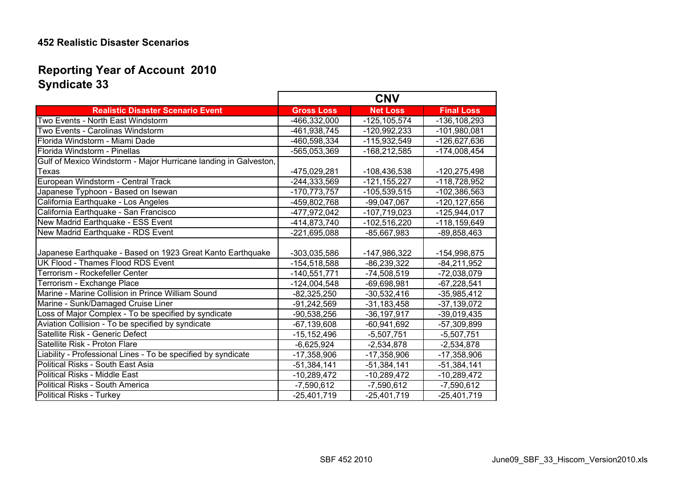# **Syndicate 33 Reporting Year of Account 2010**

|                                                                  | <b>CNV</b>        |                  |                   |
|------------------------------------------------------------------|-------------------|------------------|-------------------|
| <b>Realistic Disaster Scenario Event</b>                         | <b>Gross Loss</b> | <b>Net Loss</b>  | <b>Final Loss</b> |
| Two Events - North East Windstorm                                | -466,332,000      | $-125, 105, 574$ | -136,108,293      |
| Two Events - Carolinas Windstorm                                 | -461,938,745      | -120,992,233     | $-101,980,081$    |
| Florida Windstorm - Miami Dade                                   | -460,598,334      | -115,932,549     | -126,627,636      |
| Florida Windstorm - Pinellas                                     | -565,053,369      | $-168,212,585$   | $-174,008,454$    |
| Gulf of Mexico Windstorm - Major Hurricane landing in Galveston, |                   |                  |                   |
| Texas                                                            | -475,029,281      | -108,436,538     | $-120,275,498$    |
| European Windstorm - Central Track                               | $-244, 333, 569$  | $-121, 155, 227$ | -118,728,952      |
| Japanese Typhoon - Based on Isewan                               | $-170,773,757$    | $-105,539,515$   | -102,386,563      |
| California Earthquake - Los Angeles                              | -459,802,768      | $-99,047,067$    | -120, 127, 656    |
| California Earthquake - San Francisco                            | -477,972,042      | -107,719,023     | $-125,944,017$    |
| New Madrid Earthquake - ESS Event                                | -414,873,740      | $-102,516,220$   | -118,159,649      |
| New Madrid Earthquake - RDS Event                                | -221,695,088      | $-85,667,983$    | $-89,858,463$     |
| Japanese Earthquake - Based on 1923 Great Kanto Earthquake       | -303,035,586      | -147,986,322     | -154,998,875      |
| <b>UK Flood - Thames Flood RDS Event</b>                         | $-154,518,588$    | $-86,239,322$    | $-84,211,952$     |
| Terrorism - Rockefeller Center                                   | $-140,551,771$    | $-74,508,519$    | $-72,038,079$     |
| Terrorism - Exchange Place                                       | $-124,004,548$    | $-69,698,981$    | $-67,228,541$     |
| Marine - Marine Collision in Prince William Sound                | $-82,325,250$     | $-30,532,416$    | $-35,985,412$     |
| Marine - Sunk/Damaged Cruise Liner                               | $-91,242,569$     | $-31,183,458$    | $-37,139,072$     |
| Loss of Major Complex - To be specified by syndicate             | $-90,538,256$     | $-36, 197, 917$  | $-39,019,435$     |
| Aviation Collision - To be specified by syndicate                | $-67, 139, 608$   | $-60,941,692$    | -57,309,899       |
| Satellite Risk - Generic Defect                                  | $-15, 152, 496$   | $-5,507,751$     | $-5,507,751$      |
| Satellite Risk - Proton Flare                                    | $-6,625,924$      | $-2,534,878$     | $-2,534,878$      |
| Liability - Professional Lines - To be specified by syndicate    | $-17,358,906$     | $-17,358,906$    | $-17,358,906$     |
| Political Risks - South East Asia                                | $-51,384,141$     | $-51,384,141$    | $-51,384,141$     |
| Political Risks - Middle East                                    | $-10,289,472$     | $-10,289,472$    | $-10,289,472$     |
| Political Risks - South America                                  | $-7,590,612$      | $-7,590,612$     | $-7,590,612$      |
| Political Risks - Turkey                                         | $-25,401,719$     | $-25,401,719$    | $-25,401,719$     |